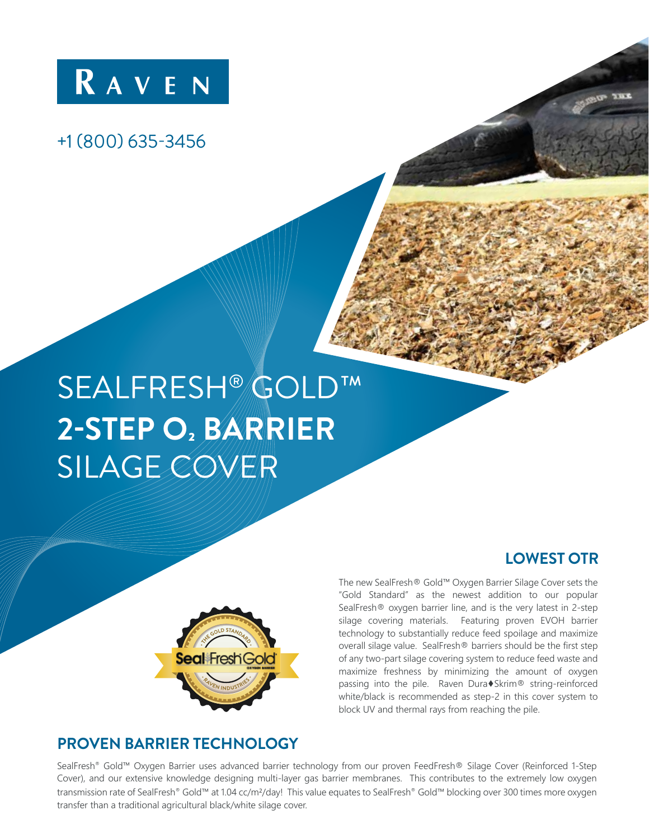

## +1 (800) 635-3456

# SEALFRESH® GOLD™ **2-STEP O2 BARRIER SILAGE COVER**



### **LOWEST OTR**

The new SealFresh® Gold™ Oxygen Barrier Silage Cover sets the "Gold Standard" as the newest addition to our popular SealFresh® oxygen barrier line, and is the very latest in 2-step silage covering materials. Featuring proven EVOH barrier technology to substantially reduce feed spoilage and maximize overall silage value. SealFresh® barriers should be the first step of any two-part silage covering system to reduce feed waste and maximize freshness by minimizing the amount of oxygen passing into the pile. Raven Dura♦Skrim® string-reinforced white/black is recommended as step-2 in this cover system to block UV and thermal rays from reaching the pile.

## **PROVEN BARRIER TECHNOLOGY**

SealFresh® Gold™ Oxygen Barrier uses advanced barrier technology from our proven FeedFresh® Silage Cover (Reinforced 1-Step Cover), and our extensive knowledge designing multi-layer gas barrier membranes. This contributes to the extremely low oxygen transmission rate of SealFresh® Gold™ at 1.04 cc/m<sup>2</sup>/day! This value equates to SealFresh® Gold™ blocking over 300 times more oxygen transfer than a traditional agricultural black/white silage cover.